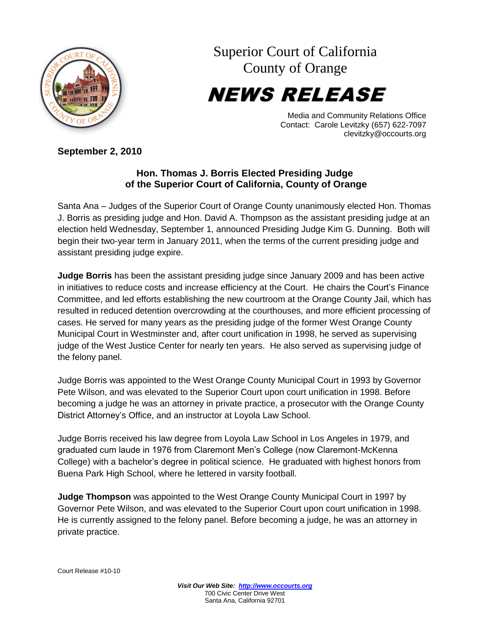

Superior Court of California County of Orange

NEWS RELEASE

Media and Community Relations Office Contact: Carole Levitzky (657) 622-7097 clevitzky@occourts.org

**September 2, 2010**

## **Hon. Thomas J. Borris Elected Presiding Judge of the Superior Court of California, County of Orange**

Santa Ana – Judges of the Superior Court of Orange County unanimously elected Hon. Thomas J. Borris as presiding judge and Hon. David A. Thompson as the assistant presiding judge at an election held Wednesday, September 1, announced Presiding Judge Kim G. Dunning. Both will begin their two-year term in January 2011, when the terms of the current presiding judge and assistant presiding judge expire.

**Judge Borris** has been the assistant presiding judge since January 2009 and has been active in initiatives to reduce costs and increase efficiency at the Court. He chairs the Court's Finance Committee, and led efforts establishing the new courtroom at the Orange County Jail, which has resulted in reduced detention overcrowding at the courthouses, and more efficient processing of cases. He served for many years as the presiding judge of the former West Orange County Municipal Court in Westminster and, after court unification in 1998, he served as supervising judge of the West Justice Center for nearly ten years. He also served as supervising judge of the felony panel.

Judge Borris was appointed to the West Orange County Municipal Court in 1993 by Governor Pete Wilson, and was elevated to the Superior Court upon court unification in 1998. Before becoming a judge he was an attorney in private practice, a prosecutor with the Orange County District Attorney's Office, and an instructor at Loyola Law School.

Judge Borris received his law degree from Loyola Law School in Los Angeles in 1979, and graduated cum laude in 1976 from Claremont Men's College (now Claremont-McKenna College) with a bachelor's degree in political science. He graduated with highest honors from Buena Park High School, where he lettered in varsity football.

**Judge Thompson** was appointed to the West Orange County Municipal Court in 1997 by Governor Pete Wilson, and was elevated to the Superior Court upon court unification in 1998. He is currently assigned to the felony panel. Before becoming a judge, he was an attorney in private practice.

Court Release #10-10